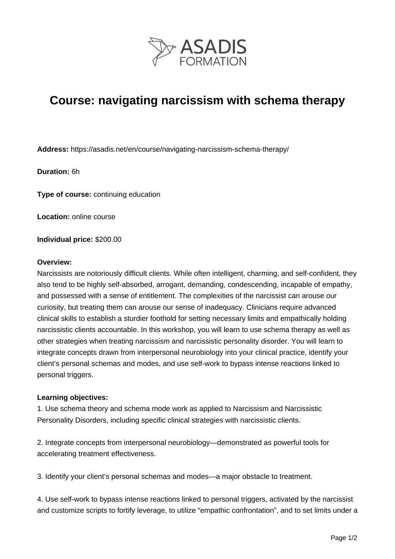

# **Course: navigating narcissism with schema therapy**

**Address:** https://asadis.net/en/course/navigating-narcissism-schema-therapy/

**Duration:** 6h

**Type of course:** continuing education

**Location:** online course

**Individual price:** \$200.00

#### **Overview:**

Narcissists are notoriously difficult clients. While often intelligent, charming, and self-confident, they also tend to be highly self-absorbed, arrogant, demanding, condescending, incapable of empathy, and possessed with a sense of entitlement. The complexities of the narcissist can arouse our curiosity, but treating them can arouse our sense of inadequacy. Clinicians require advanced clinical skills to establish a sturdier foothold for setting necessary limits and empathically holding narcissistic clients accountable. In this workshop, you will learn to use schema therapy as well as other strategies when treating narcissism and narcissistic personality disorder. You will learn to integrate concepts drawn from interpersonal neurobiology into your clinical practice, identify your client's personal schemas and modes, and use self-work to bypass intense reactions linked to personal triggers.

#### **Learning objectives:**

1. Use schema theory and schema mode work as applied to Narcissism and Narcissistic Personality Disorders, including specific clinical strategies with narcissistic clients.

2. Integrate concepts from interpersonal neurobiology—demonstrated as powerful tools for accelerating treatment effectiveness.

3. Identify your client's personal schemas and modes—a major obstacle to treatment.

4. Use self-work to bypass intense reactions linked to personal triggers, activated by the narcissist and customize scripts to fortify leverage, to utilize "empathic confrontation", and to set limits under a